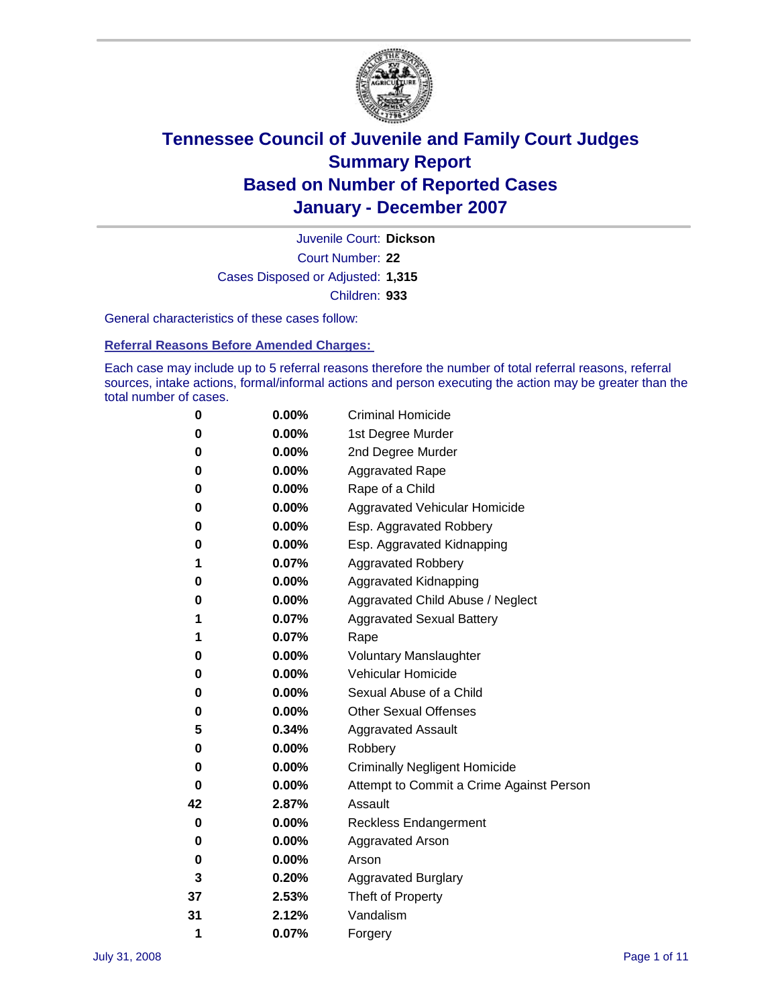

Court Number: **22** Juvenile Court: **Dickson** Cases Disposed or Adjusted: **1,315** Children: **933**

General characteristics of these cases follow:

**Referral Reasons Before Amended Charges:** 

Each case may include up to 5 referral reasons therefore the number of total referral reasons, referral sources, intake actions, formal/informal actions and person executing the action may be greater than the total number of cases.

| 0  | 0.00%    | <b>Criminal Homicide</b>                 |  |  |
|----|----------|------------------------------------------|--|--|
| 0  | 0.00%    | 1st Degree Murder                        |  |  |
| 0  | $0.00\%$ | 2nd Degree Murder                        |  |  |
| 0  | 0.00%    | <b>Aggravated Rape</b>                   |  |  |
| 0  | 0.00%    | Rape of a Child                          |  |  |
| 0  | 0.00%    | Aggravated Vehicular Homicide            |  |  |
| 0  | 0.00%    | Esp. Aggravated Robbery                  |  |  |
| 0  | 0.00%    | Esp. Aggravated Kidnapping               |  |  |
| 1  | 0.07%    | <b>Aggravated Robbery</b>                |  |  |
| 0  | $0.00\%$ | Aggravated Kidnapping                    |  |  |
| 0  | 0.00%    | Aggravated Child Abuse / Neglect         |  |  |
| 1  | 0.07%    | <b>Aggravated Sexual Battery</b>         |  |  |
| 1  | 0.07%    | Rape                                     |  |  |
| 0  | 0.00%    | <b>Voluntary Manslaughter</b>            |  |  |
| 0  | 0.00%    | Vehicular Homicide                       |  |  |
| 0  | 0.00%    | Sexual Abuse of a Child                  |  |  |
| 0  | 0.00%    | <b>Other Sexual Offenses</b>             |  |  |
| 5  | 0.34%    | <b>Aggravated Assault</b>                |  |  |
| 0  | $0.00\%$ | Robbery                                  |  |  |
| 0  | 0.00%    | <b>Criminally Negligent Homicide</b>     |  |  |
| 0  | 0.00%    | Attempt to Commit a Crime Against Person |  |  |
| 42 | 2.87%    | Assault                                  |  |  |
| 0  | 0.00%    | <b>Reckless Endangerment</b>             |  |  |
| 0  | 0.00%    | Aggravated Arson                         |  |  |
| 0  | 0.00%    | Arson                                    |  |  |
| 3  | 0.20%    | <b>Aggravated Burglary</b>               |  |  |
| 37 | 2.53%    | Theft of Property                        |  |  |
| 31 | 2.12%    | Vandalism                                |  |  |
| 1  | 0.07%    | Forgery                                  |  |  |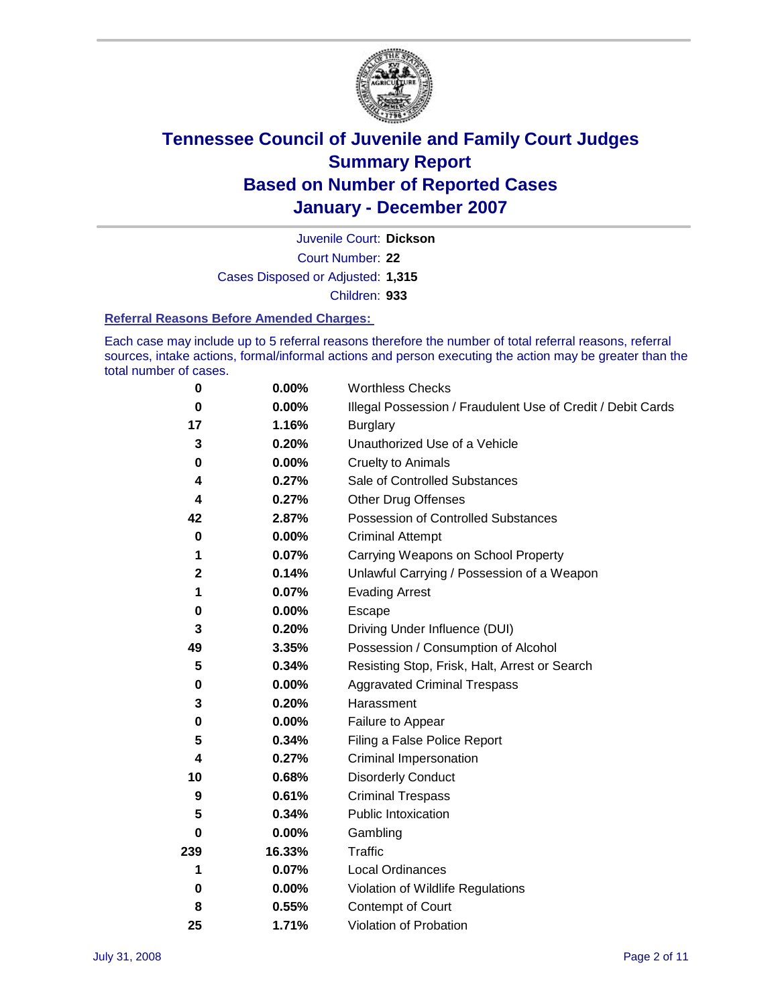

Court Number: **22** Juvenile Court: **Dickson** Cases Disposed or Adjusted: **1,315** Children: **933**

#### **Referral Reasons Before Amended Charges:**

Each case may include up to 5 referral reasons therefore the number of total referral reasons, referral sources, intake actions, formal/informal actions and person executing the action may be greater than the total number of cases.

| 0           | 0.00%    | <b>Worthless Checks</b>                                     |
|-------------|----------|-------------------------------------------------------------|
| 0           | 0.00%    | Illegal Possession / Fraudulent Use of Credit / Debit Cards |
| 17          | 1.16%    | <b>Burglary</b>                                             |
| 3           | 0.20%    | Unauthorized Use of a Vehicle                               |
| 0           | 0.00%    | <b>Cruelty to Animals</b>                                   |
| 4           | 0.27%    | Sale of Controlled Substances                               |
| 4           | 0.27%    | <b>Other Drug Offenses</b>                                  |
| 42          | 2.87%    | Possession of Controlled Substances                         |
| 0           | 0.00%    | <b>Criminal Attempt</b>                                     |
| 1           | 0.07%    | Carrying Weapons on School Property                         |
| $\mathbf 2$ | 0.14%    | Unlawful Carrying / Possession of a Weapon                  |
| 1           | 0.07%    | <b>Evading Arrest</b>                                       |
| 0           | 0.00%    | Escape                                                      |
| 3           | 0.20%    | Driving Under Influence (DUI)                               |
| 49          | 3.35%    | Possession / Consumption of Alcohol                         |
| 5           | 0.34%    | Resisting Stop, Frisk, Halt, Arrest or Search               |
| 0           | $0.00\%$ | <b>Aggravated Criminal Trespass</b>                         |
| 3           | 0.20%    | Harassment                                                  |
| 0           | 0.00%    | Failure to Appear                                           |
| 5           | 0.34%    | Filing a False Police Report                                |
| 4           | 0.27%    | Criminal Impersonation                                      |
| 10          | 0.68%    | <b>Disorderly Conduct</b>                                   |
| 9           | 0.61%    | <b>Criminal Trespass</b>                                    |
| 5           | 0.34%    | <b>Public Intoxication</b>                                  |
| 0           | 0.00%    | Gambling                                                    |
| 239         | 16.33%   | Traffic                                                     |
| 1           | 0.07%    | <b>Local Ordinances</b>                                     |
| 0           | $0.00\%$ | Violation of Wildlife Regulations                           |
| 8           | 0.55%    | Contempt of Court                                           |
| 25          | 1.71%    | Violation of Probation                                      |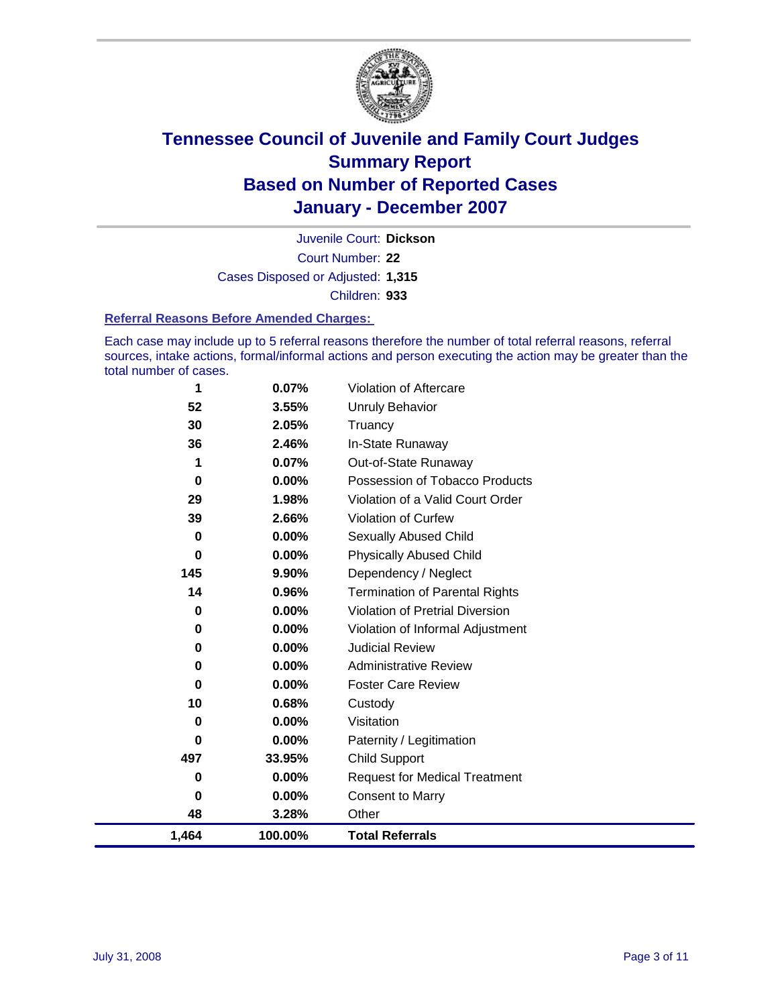

Court Number: **22** Juvenile Court: **Dickson** Cases Disposed or Adjusted: **1,315** Children: **933**

#### **Referral Reasons Before Amended Charges:**

Each case may include up to 5 referral reasons therefore the number of total referral reasons, referral sources, intake actions, formal/informal actions and person executing the action may be greater than the total number of cases.

| 1     | 0.07%    | <b>Violation of Aftercare</b>          |
|-------|----------|----------------------------------------|
| 52    | 3.55%    | <b>Unruly Behavior</b>                 |
| 30    | 2.05%    | Truancy                                |
| 36    | 2.46%    | In-State Runaway                       |
| 1     | 0.07%    | Out-of-State Runaway                   |
| 0     | $0.00\%$ | Possession of Tobacco Products         |
| 29    | 1.98%    | Violation of a Valid Court Order       |
| 39    | 2.66%    | <b>Violation of Curfew</b>             |
| 0     | $0.00\%$ | <b>Sexually Abused Child</b>           |
| 0     | $0.00\%$ | <b>Physically Abused Child</b>         |
| 145   | 9.90%    | Dependency / Neglect                   |
| 14    | 0.96%    | <b>Termination of Parental Rights</b>  |
| 0     | 0.00%    | <b>Violation of Pretrial Diversion</b> |
| 0     | 0.00%    | Violation of Informal Adjustment       |
| 0     | 0.00%    | <b>Judicial Review</b>                 |
| 0     | 0.00%    | <b>Administrative Review</b>           |
| 0     | 0.00%    | <b>Foster Care Review</b>              |
| 10    | 0.68%    | Custody                                |
| 0     | 0.00%    | Visitation                             |
| 0     | 0.00%    | Paternity / Legitimation               |
| 497   | 33.95%   | <b>Child Support</b>                   |
| 0     | 0.00%    | <b>Request for Medical Treatment</b>   |
| 0     | 0.00%    | <b>Consent to Marry</b>                |
| 48    | 3.28%    | Other                                  |
| 1,464 | 100.00%  | <b>Total Referrals</b>                 |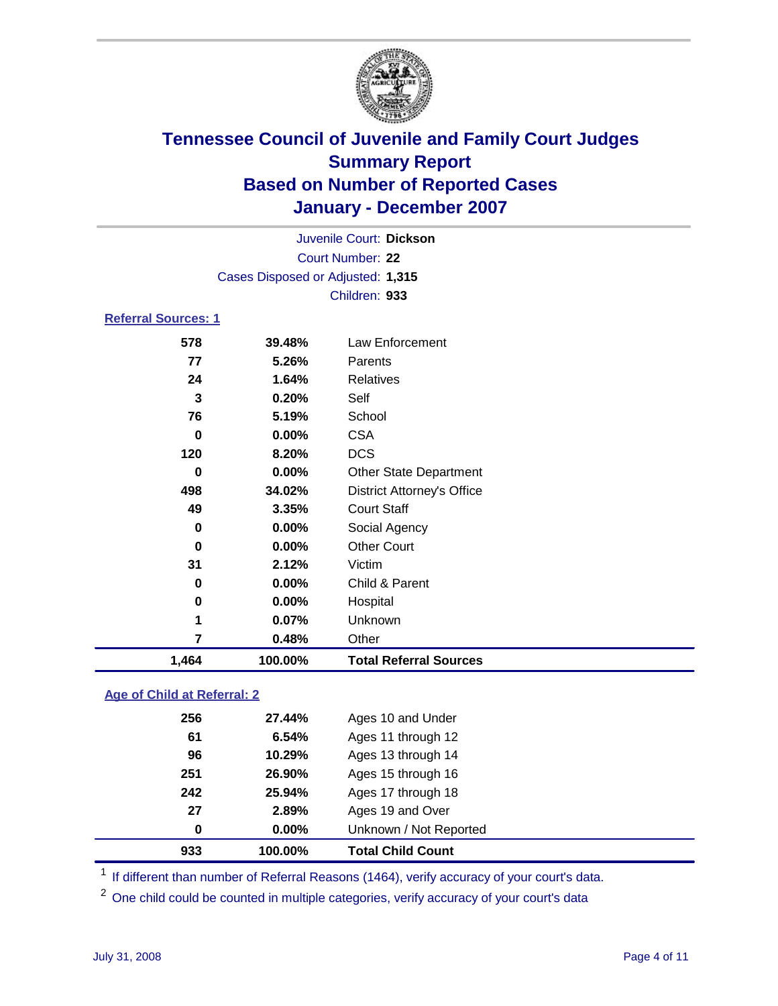

Court Number: **22** Juvenile Court: **Dickson** Cases Disposed or Adjusted: **1,315** Children: **933**

### **Referral Sources: 1**

| 1,464 | 100.00% | <b>Total Referral Sources</b>     |
|-------|---------|-----------------------------------|
| 7     | 0.48%   | Other                             |
| 1     | 0.07%   | Unknown                           |
| 0     | 0.00%   | Hospital                          |
| 0     | 0.00%   | Child & Parent                    |
| 31    | 2.12%   | Victim                            |
| 0     | 0.00%   | <b>Other Court</b>                |
| 0     | 0.00%   | Social Agency                     |
| 49    | 3.35%   | <b>Court Staff</b>                |
| 498   | 34.02%  | <b>District Attorney's Office</b> |
| 0     | 0.00%   | <b>Other State Department</b>     |
| 120   | 8.20%   | <b>DCS</b>                        |
| 0     | 0.00%   | <b>CSA</b>                        |
| 76    | 5.19%   | School                            |
| 3     | 0.20%   | Self                              |
| 24    | 1.64%   | Relatives                         |
| 77    | 5.26%   | Parents                           |
| 578   | 39.48%  | Law Enforcement                   |
|       |         |                                   |

#### **Age of Child at Referral: 2**

| 933 | 100.00%  | <b>Total Child Count</b> |  |
|-----|----------|--------------------------|--|
| 0   | $0.00\%$ | Unknown / Not Reported   |  |
| 27  | 2.89%    | Ages 19 and Over         |  |
| 242 | 25.94%   | Ages 17 through 18       |  |
| 251 | 26.90%   | Ages 15 through 16       |  |
| 96  | 10.29%   | Ages 13 through 14       |  |
| 61  | 6.54%    | Ages 11 through 12       |  |
| 256 | 27.44%   | Ages 10 and Under        |  |
|     |          |                          |  |

<sup>1</sup> If different than number of Referral Reasons (1464), verify accuracy of your court's data.

<sup>2</sup> One child could be counted in multiple categories, verify accuracy of your court's data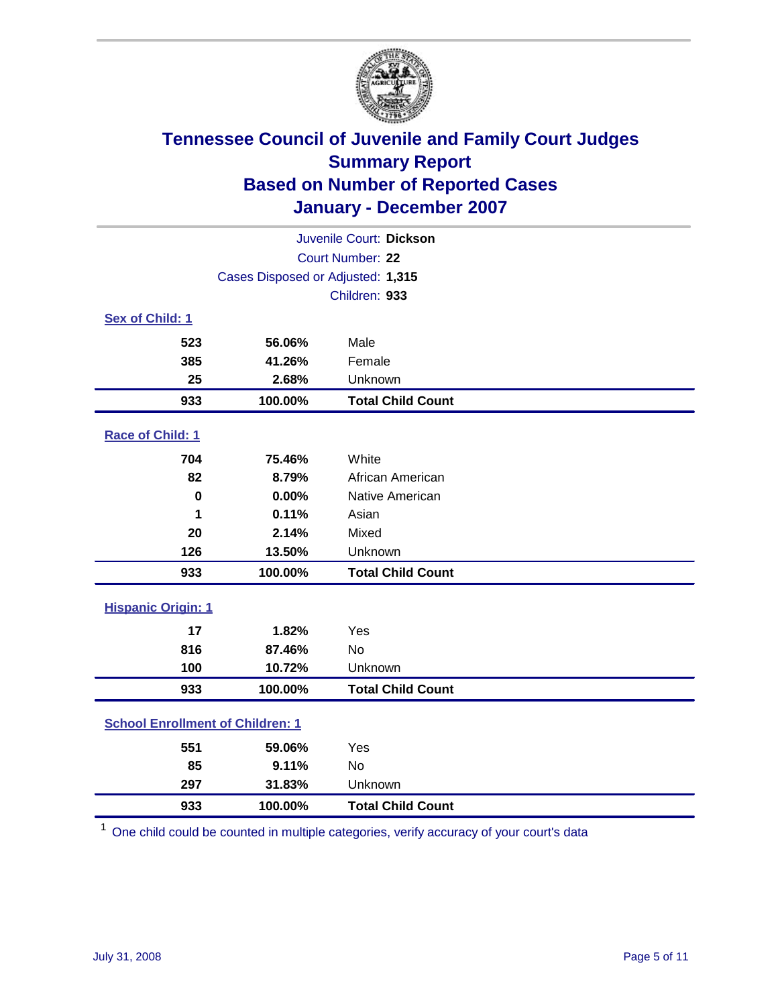

| Juvenile Court: Dickson                 |                                   |                          |  |  |  |
|-----------------------------------------|-----------------------------------|--------------------------|--|--|--|
| Court Number: 22                        |                                   |                          |  |  |  |
|                                         | Cases Disposed or Adjusted: 1,315 |                          |  |  |  |
|                                         |                                   | Children: 933            |  |  |  |
| Sex of Child: 1                         |                                   |                          |  |  |  |
| 523                                     | 56.06%                            | Male                     |  |  |  |
| 385                                     | 41.26%                            | Female                   |  |  |  |
| 25                                      | 2.68%                             | Unknown                  |  |  |  |
| 933                                     | 100.00%                           | <b>Total Child Count</b> |  |  |  |
| Race of Child: 1                        |                                   |                          |  |  |  |
| 704                                     | 75.46%                            | White                    |  |  |  |
| 82                                      | 8.79%                             | African American         |  |  |  |
| $\bf{0}$                                | 0.00%                             | Native American          |  |  |  |
| 1                                       | 0.11%                             | Asian                    |  |  |  |
| 20                                      | 2.14%                             | Mixed                    |  |  |  |
| 126                                     | 13.50%                            | Unknown                  |  |  |  |
| 933                                     | 100.00%                           | <b>Total Child Count</b> |  |  |  |
| <b>Hispanic Origin: 1</b>               |                                   |                          |  |  |  |
| 17                                      | 1.82%                             | Yes                      |  |  |  |
| 816                                     | 87.46%                            | <b>No</b>                |  |  |  |
| 100                                     | 10.72%                            | Unknown                  |  |  |  |
| 933                                     | 100.00%                           | <b>Total Child Count</b> |  |  |  |
| <b>School Enrollment of Children: 1</b> |                                   |                          |  |  |  |
| 551                                     | 59.06%                            | Yes                      |  |  |  |
| 85                                      | 9.11%                             | No                       |  |  |  |
| 297                                     | 31.83%                            | Unknown                  |  |  |  |
| 933                                     | 100.00%                           | <b>Total Child Count</b> |  |  |  |

One child could be counted in multiple categories, verify accuracy of your court's data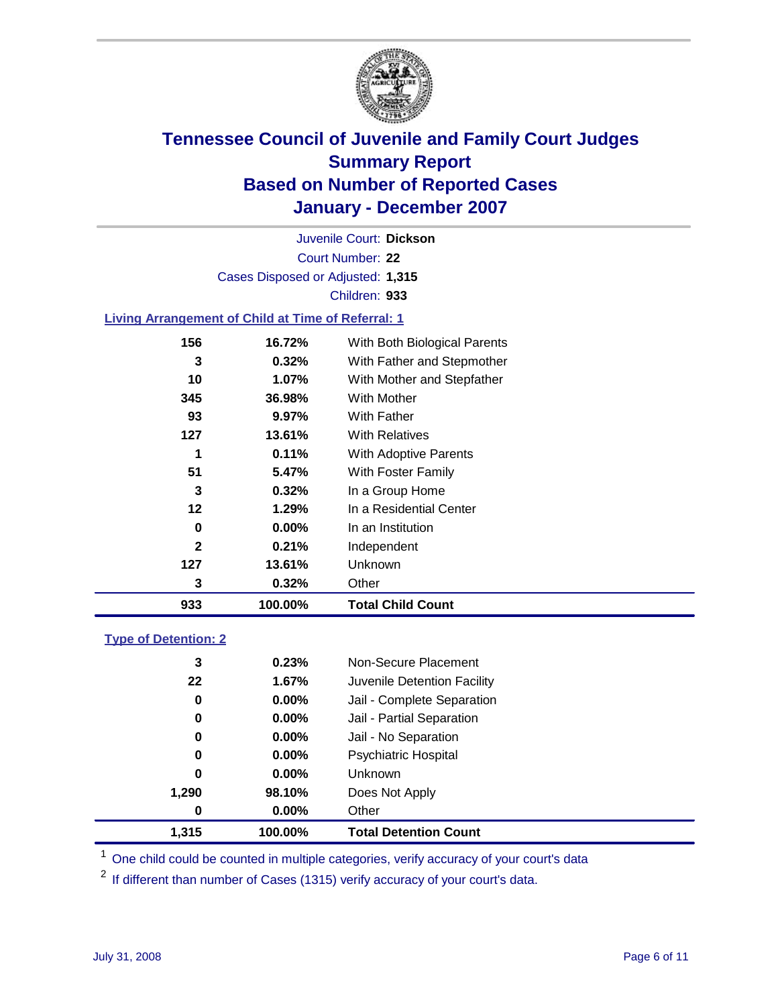

Court Number: **22** Juvenile Court: **Dickson** Cases Disposed or Adjusted: **1,315** Children: **933**

#### **Living Arrangement of Child at Time of Referral: 1**

| 933          | 100.00%  | <b>Total Child Count</b>     |
|--------------|----------|------------------------------|
| 3            | 0.32%    | Other                        |
| 127          | 13.61%   | <b>Unknown</b>               |
| $\mathbf{2}$ | 0.21%    | Independent                  |
| 0            | $0.00\%$ | In an Institution            |
| 12           | 1.29%    | In a Residential Center      |
| 3            | 0.32%    | In a Group Home              |
| 51           | 5.47%    | With Foster Family           |
| 1            | 0.11%    | <b>With Adoptive Parents</b> |
| 127          | 13.61%   | <b>With Relatives</b>        |
| 93           | 9.97%    | With Father                  |
| 345          | 36.98%   | With Mother                  |
| 10           | 1.07%    | With Mother and Stepfather   |
| 3            | 0.32%    | With Father and Stepmother   |
| 156          | 16.72%   | With Both Biological Parents |

#### **Type of Detention: 2**

| 1.315 | 100.00%  | <b>Total Detention Count</b> |  |
|-------|----------|------------------------------|--|
| 0     | $0.00\%$ | Other                        |  |
| 1,290 | 98.10%   | Does Not Apply               |  |
| 0     | $0.00\%$ | <b>Unknown</b>               |  |
| 0     | 0.00%    | <b>Psychiatric Hospital</b>  |  |
| 0     | 0.00%    | Jail - No Separation         |  |
| 0     | $0.00\%$ | Jail - Partial Separation    |  |
| 0     | $0.00\%$ | Jail - Complete Separation   |  |
| 22    | 1.67%    | Juvenile Detention Facility  |  |
| 3     | 0.23%    | Non-Secure Placement         |  |
|       |          |                              |  |

<sup>1</sup> One child could be counted in multiple categories, verify accuracy of your court's data

<sup>2</sup> If different than number of Cases (1315) verify accuracy of your court's data.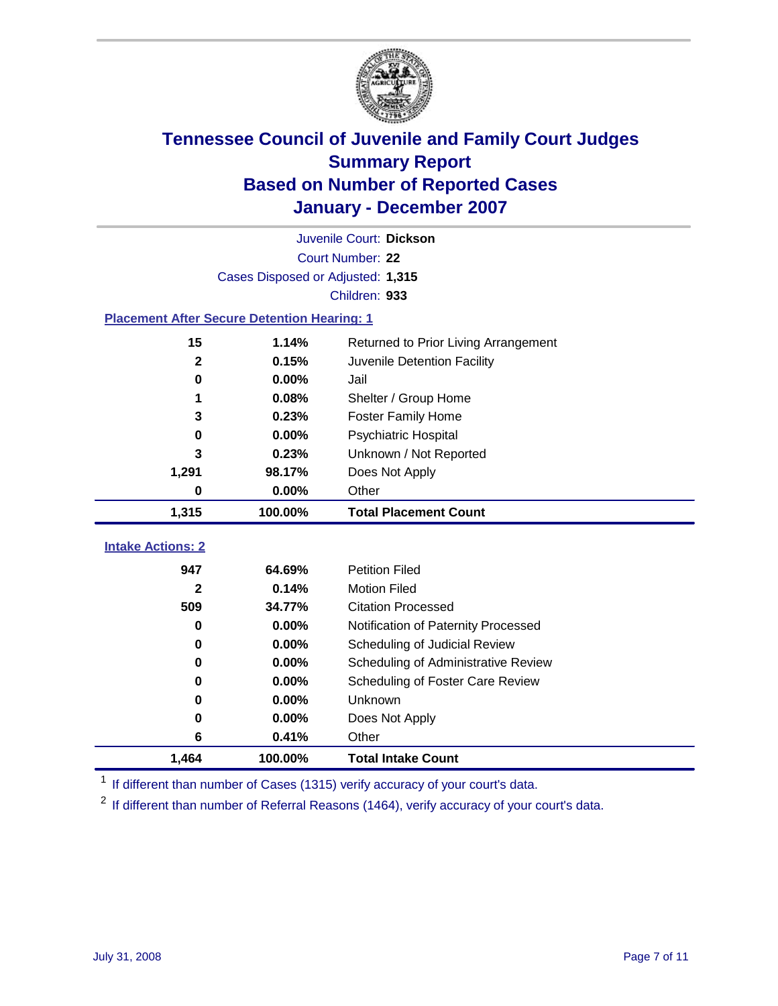

|                                                    | Juvenile Court: Dickson           |                                      |  |  |  |
|----------------------------------------------------|-----------------------------------|--------------------------------------|--|--|--|
|                                                    | Court Number: 22                  |                                      |  |  |  |
|                                                    | Cases Disposed or Adjusted: 1,315 |                                      |  |  |  |
|                                                    |                                   | Children: 933                        |  |  |  |
| <b>Placement After Secure Detention Hearing: 1</b> |                                   |                                      |  |  |  |
| 15                                                 | 1.14%                             | Returned to Prior Living Arrangement |  |  |  |
| $\mathbf 2$                                        | 0.15%                             | Juvenile Detention Facility          |  |  |  |
| 0                                                  | 0.00%                             | Jail                                 |  |  |  |
| 1                                                  | 0.08%                             | Shelter / Group Home                 |  |  |  |
| 3                                                  | 0.23%                             | <b>Foster Family Home</b>            |  |  |  |
| 0                                                  | 0.00%                             | Psychiatric Hospital                 |  |  |  |
| 3                                                  | 0.23%                             | Unknown / Not Reported               |  |  |  |
| 1,291                                              | 98.17%                            | Does Not Apply                       |  |  |  |
| 0                                                  | 0.00%                             | Other                                |  |  |  |
| 1,315                                              | 100.00%                           | <b>Total Placement Count</b>         |  |  |  |
| <b>Intake Actions: 2</b>                           |                                   |                                      |  |  |  |
|                                                    |                                   |                                      |  |  |  |
| 947                                                | 64.69%                            | <b>Petition Filed</b>                |  |  |  |
| 2                                                  | 0.14%                             | <b>Motion Filed</b>                  |  |  |  |
| 509                                                | 34.77%                            | <b>Citation Processed</b>            |  |  |  |
| 0                                                  | 0.00%                             | Notification of Paternity Processed  |  |  |  |
| 0                                                  | 0.00%                             | Scheduling of Judicial Review        |  |  |  |
| 0                                                  | 0.00%                             | Scheduling of Administrative Review  |  |  |  |
| 0                                                  | 0.00%                             | Scheduling of Foster Care Review     |  |  |  |
| 0                                                  | 0.00%                             | Unknown                              |  |  |  |
| 0                                                  | 0.00%                             | Does Not Apply                       |  |  |  |
| 6                                                  | 0.41%                             | Other                                |  |  |  |
| 1,464                                              | 100.00%                           | <b>Total Intake Count</b>            |  |  |  |

<sup>1</sup> If different than number of Cases (1315) verify accuracy of your court's data.

<sup>2</sup> If different than number of Referral Reasons (1464), verify accuracy of your court's data.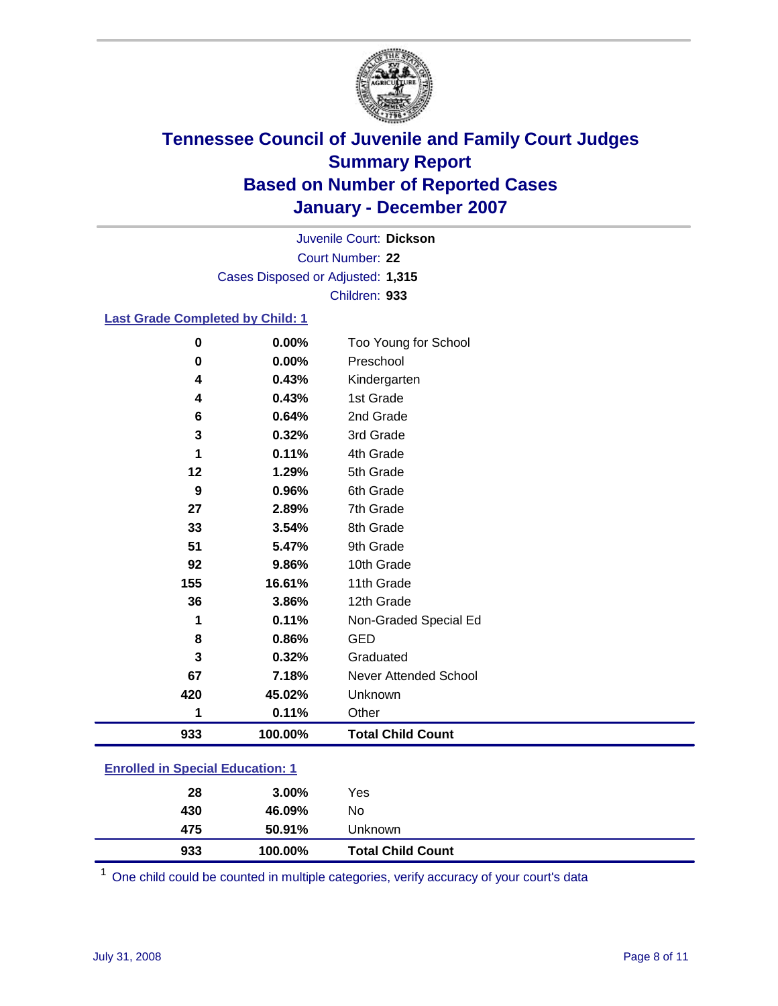

Court Number: **22** Juvenile Court: **Dickson** Cases Disposed or Adjusted: **1,315** Children: **933**

#### **Last Grade Completed by Child: 1**

| 933      | 100.00% | <b>Total Child Count</b> |
|----------|---------|--------------------------|
| 1        | 0.11%   | Other                    |
| 420      | 45.02%  | Unknown                  |
| 67       | 7.18%   | Never Attended School    |
| 3        | 0.32%   | Graduated                |
| 8        | 0.86%   | <b>GED</b>               |
| 1        | 0.11%   | Non-Graded Special Ed    |
| 36       | 3.86%   | 12th Grade               |
| 155      | 16.61%  | 11th Grade               |
| 92       | 9.86%   | 10th Grade               |
| 51       | 5.47%   | 9th Grade                |
| 33       | 3.54%   | 8th Grade                |
| 27       | 2.89%   | 7th Grade                |
| 9        | 0.96%   | 6th Grade                |
| 12       | 1.29%   | 5th Grade                |
| 1        | 0.11%   | 4th Grade                |
| 3        | 0.32%   | 3rd Grade                |
| 6        | 0.64%   | 2nd Grade                |
| 4        | 0.43%   | 1st Grade                |
| 4        | 0.43%   | Kindergarten             |
| $\bf{0}$ | 0.00%   | Preschool                |
| $\bf{0}$ | 0.00%   | Too Young for School     |

### **Enrolled in Special Education: 1**

| 933 | 100.00%  | <b>Total Child Count</b> |  |
|-----|----------|--------------------------|--|
| 475 | 50.91%   | Unknown                  |  |
| 430 | 46.09%   | No                       |  |
| 28  | $3.00\%$ | Yes                      |  |
|     |          |                          |  |

<sup>1</sup> One child could be counted in multiple categories, verify accuracy of your court's data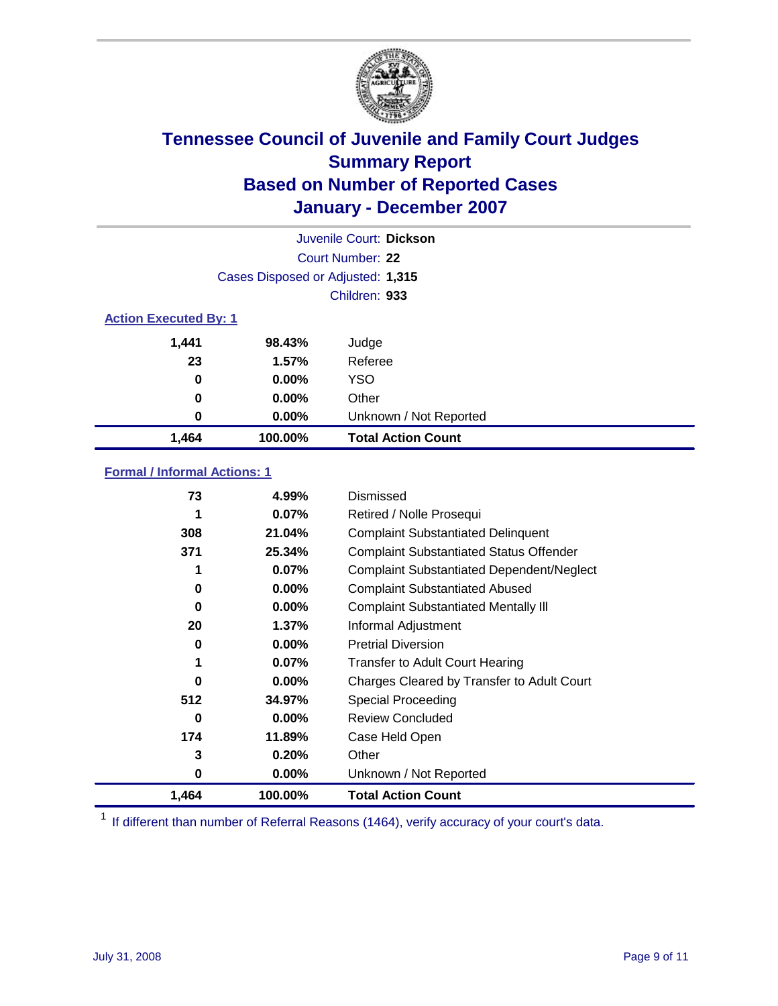

| Juvenile Court: Dickson      |                                   |                           |  |  |
|------------------------------|-----------------------------------|---------------------------|--|--|
|                              | Court Number: 22                  |                           |  |  |
|                              | Cases Disposed or Adjusted: 1,315 |                           |  |  |
|                              |                                   | Children: 933             |  |  |
| <b>Action Executed By: 1</b> |                                   |                           |  |  |
| 1,441                        | 98.43%                            | Judge                     |  |  |
| 23                           | 1.57%                             | Referee                   |  |  |
| 0                            | $0.00\%$                          | <b>YSO</b>                |  |  |
| 0                            | 0.00%                             | Other                     |  |  |
| 0                            | $0.00\%$                          | Unknown / Not Reported    |  |  |
| 1,464                        | 100.00%                           | <b>Total Action Count</b> |  |  |

### **Formal / Informal Actions: 1**

| 73    | 4.99%    | Dismissed                                        |
|-------|----------|--------------------------------------------------|
|       | $0.07\%$ | Retired / Nolle Prosequi                         |
| 308   | 21.04%   | <b>Complaint Substantiated Delinquent</b>        |
| 371   | 25.34%   | <b>Complaint Substantiated Status Offender</b>   |
| 1     | 0.07%    | <b>Complaint Substantiated Dependent/Neglect</b> |
| 0     | $0.00\%$ | <b>Complaint Substantiated Abused</b>            |
| 0     | $0.00\%$ | <b>Complaint Substantiated Mentally III</b>      |
| 20    | 1.37%    | Informal Adjustment                              |
| 0     | 0.00%    | <b>Pretrial Diversion</b>                        |
| 1     | 0.07%    | <b>Transfer to Adult Court Hearing</b>           |
| 0     | $0.00\%$ | Charges Cleared by Transfer to Adult Court       |
| 512   | 34.97%   | Special Proceeding                               |
| 0     | $0.00\%$ | <b>Review Concluded</b>                          |
| 174   | 11.89%   | Case Held Open                                   |
| 3     | 0.20%    | Other                                            |
| 0     | $0.00\%$ | Unknown / Not Reported                           |
| 1,464 | 100.00%  | <b>Total Action Count</b>                        |

<sup>1</sup> If different than number of Referral Reasons (1464), verify accuracy of your court's data.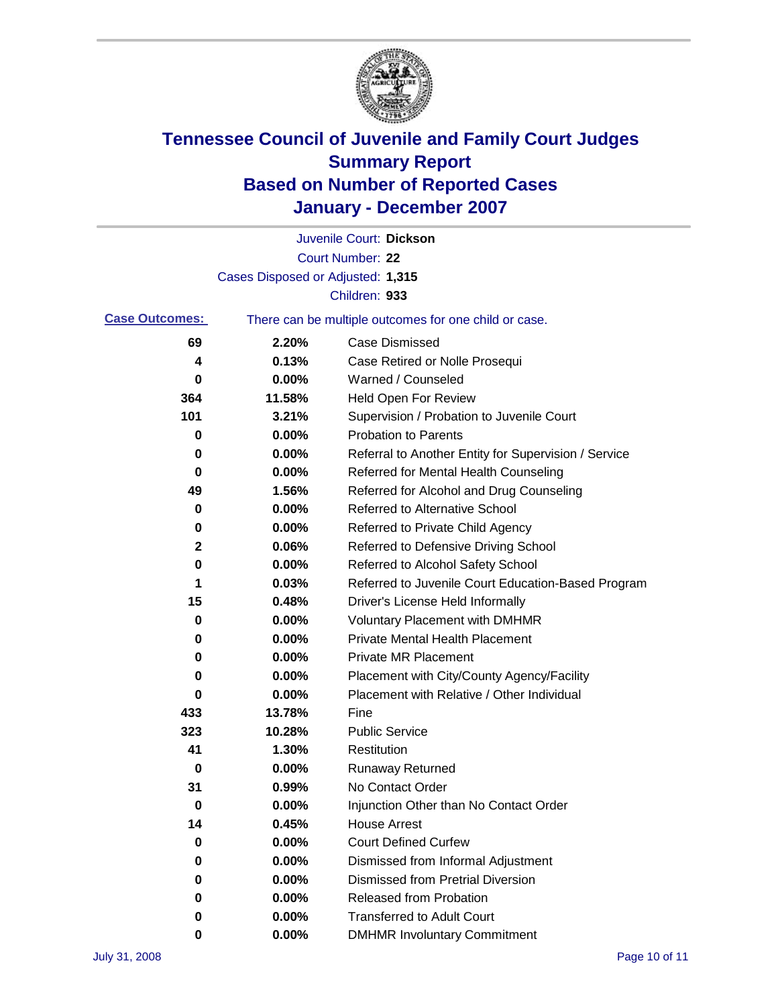

|                       |                                   | Juvenile Court: Dickson                               |
|-----------------------|-----------------------------------|-------------------------------------------------------|
|                       |                                   | Court Number: 22                                      |
|                       | Cases Disposed or Adjusted: 1,315 |                                                       |
|                       |                                   | Children: 933                                         |
| <b>Case Outcomes:</b> |                                   | There can be multiple outcomes for one child or case. |
| 69                    | 2.20%                             | <b>Case Dismissed</b>                                 |
| 4                     | 0.13%                             | Case Retired or Nolle Prosequi                        |
| 0                     | 0.00%                             | Warned / Counseled                                    |
| 364                   | 11.58%                            | <b>Held Open For Review</b>                           |
| 101                   | 3.21%                             | Supervision / Probation to Juvenile Court             |
| 0                     | 0.00%                             | <b>Probation to Parents</b>                           |
| 0                     | 0.00%                             | Referral to Another Entity for Supervision / Service  |
| 0                     | 0.00%                             | Referred for Mental Health Counseling                 |
| 49                    | 1.56%                             | Referred for Alcohol and Drug Counseling              |
| 0                     | 0.00%                             | <b>Referred to Alternative School</b>                 |
| 0                     | 0.00%                             | Referred to Private Child Agency                      |
| 2                     | 0.06%                             | Referred to Defensive Driving School                  |
| 0                     | 0.00%                             | Referred to Alcohol Safety School                     |
| 1                     | 0.03%                             | Referred to Juvenile Court Education-Based Program    |
| 15                    | 0.48%                             | Driver's License Held Informally                      |
| 0                     | 0.00%                             | <b>Voluntary Placement with DMHMR</b>                 |
| 0                     | 0.00%                             | <b>Private Mental Health Placement</b>                |
| 0                     | 0.00%                             | <b>Private MR Placement</b>                           |
| 0                     | 0.00%                             | Placement with City/County Agency/Facility            |
| 0                     | 0.00%                             | Placement with Relative / Other Individual            |
| 433                   | 13.78%                            | Fine                                                  |
| 323                   | 10.28%                            | <b>Public Service</b>                                 |
| 41                    | 1.30%                             | Restitution                                           |
| 0                     | 0.00%                             | <b>Runaway Returned</b>                               |
| 31                    | 0.99%                             | No Contact Order                                      |
| 0                     | 0.00%                             | Injunction Other than No Contact Order                |
| 14                    | 0.45%                             | <b>House Arrest</b>                                   |
| 0                     | 0.00%                             | <b>Court Defined Curfew</b>                           |
| 0                     | 0.00%                             | Dismissed from Informal Adjustment                    |
| 0                     | 0.00%                             | <b>Dismissed from Pretrial Diversion</b>              |
| 0                     | 0.00%                             | Released from Probation                               |
| 0                     | 0.00%                             | <b>Transferred to Adult Court</b>                     |
| 0                     | $0.00\%$                          | <b>DMHMR Involuntary Commitment</b>                   |